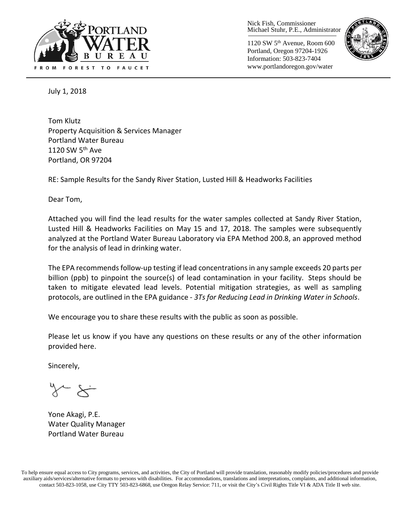

Nick Fish, Commissioner Michael Stuhr, P.E., Administrator

1120 SW 5th Avenue, Room 600 Portland, Oregon 97204-1926 Information: 503-823-7404 www.portlandoregon.gov/water



July 1, 2018

Tom Klutz Property Acquisition & Services Manager Portland Water Bureau 1120 SW  $5<sup>th</sup>$  Ave Portland, OR 97204

RE: Sample Results for the Sandy River Station, Lusted Hill & Headworks Facilities

Dear Tom,

Attached you will find the lead results for the water samples collected at Sandy River Station, Lusted Hill & Headworks Facilities on May 15 and 17, 2018. The samples were subsequently analyzed at the Portland Water Bureau Laboratory via EPA Method 200.8, an approved method for the analysis of lead in drinking water.

The EPA recommends follow-up testing if lead concentrations in any sample exceeds 20 parts per billion (ppb) to pinpoint the source(s) of lead contamination in your facility. Steps should be taken to mitigate elevated lead levels. Potential mitigation strategies, as well as sampling protocols, are outlined in the EPA guidance - *3Ts for Reducing Lead in Drinking Water in Schools*.

We encourage you to share these results with the public as soon as possible.

Please let us know if you have any questions on these results or any of the other information provided here.

Sincerely,

 $\sim$   $\times$   $\sim$ 

Yone Akagi, P.E. Water Quality Manager Portland Water Bureau

To help ensure equal access to City programs, services, and activities, the City of Portland will provide translation, reasonably modify policies/procedures and provide auxiliary aids/services/alternative formats to persons with disabilities. For accommodations, translations and interpretations, complaints, and additional information, contact 503-823-1058, use City TTY 503-823-6868, use Oregon Relay Service: 711, or visi[t the City's Civil Rights Title VI & ADA Title II web site.](http://www.portlandoregon.gov/oehr/66458)